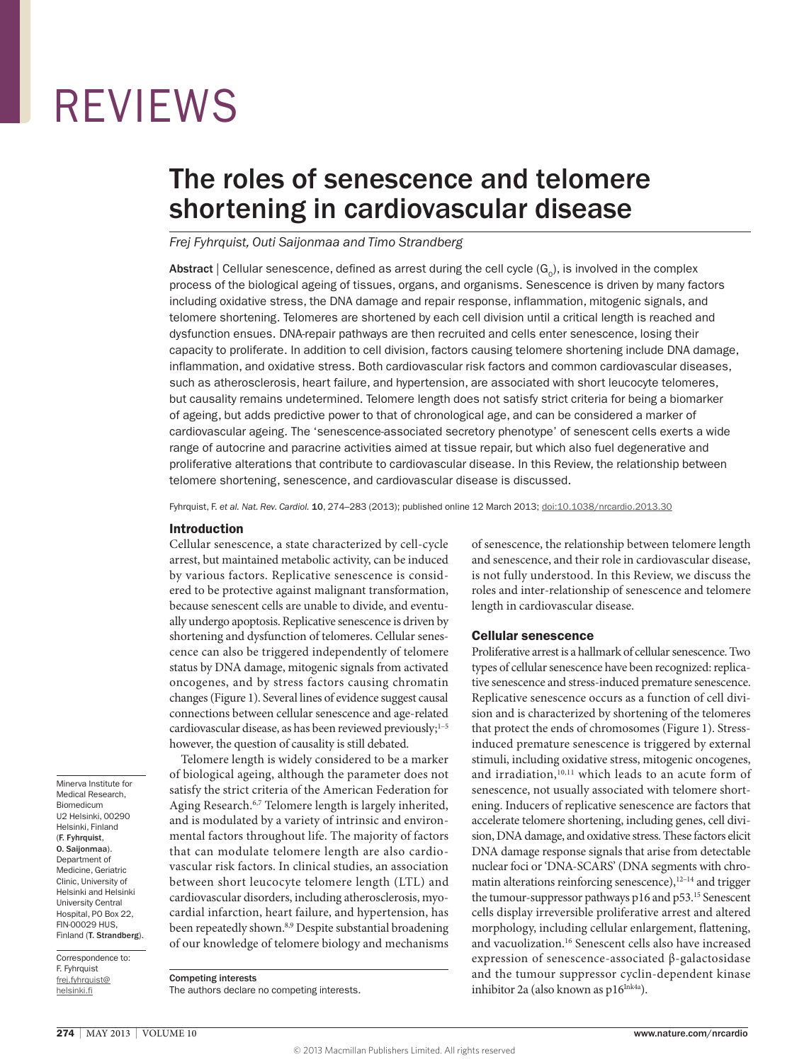# REVIEWS

## The roles of senescence and telomere shortening in cardiovascular disease

#### *Frej Fyhrquist, Outi Saijonmaa and Timo Strandberg*

Abstract | Cellular senescence, defined as arrest during the cell cycle  $(G_0)$ , is involved in the complex process of the biological ageing of tissues, organs, and organisms. Senescence is driven by many factors including oxidative stress, the DNA damage and repair response, inflammation, mitogenic signals, and telomere shortening. Telomeres are shortened by each cell division until a critical length is reached and dysfunction ensues. DNA-repair pathways are then recruited and cells enter senescence, losing their capacity to proliferate. In addition to cell division, factors causing telomere shortening include DNA damage, inflammation, and oxidative stress. Both cardiovascular risk factors and common cardiovascular diseases, such as atherosclerosis, heart failure, and hypertension, are associated with short leucocyte telomeres, but causality remains undetermined. Telomere length does not satisfy strict criteria for being a biomarker of ageing, but adds predictive power to that of chronological age, and can be considered a marker of cardiovascular ageing. The 'senescence-associated secretory phenotype' of senescent cells exerts a wide range of autocrine and paracrine activities aimed at tissue repair, but which also fuel degenerative and proliferative alterations that contribute to cardiovascular disease. In this Review, the relationship between telomere shortening, senescence, and cardiovascular disease is discussed.

Fyhrquist, F. *et al. Nat. Rev. Cardiol.* 10, 274–283 (2013); published online 12 March 2013; [doi:10.1038/nrcardio.2013.30](www.nature.com/doifinder/10.1038/nrcardio.2013.30)

#### Introduction

Cellular senescence, a state characterized by cell-cycle arrest, but maintained metabolic activity, can be induced by various factors. Replicative senescence is considered to be protective against malignant transformation, because senescent cells are unable to divide, and eventually undergo apoptosis. Replicative senescence is driven by shortening and dysfunction of telomeres. Cellular senescence can also be triggered independently of telomere status by DNA damage, mitogenic signals from activated oncogenes, and by stress factors causing chromatin changes (Figure 1). Several lines of evidence suggest causal connections between cellular senescence and age-related cardiovascular disease, as has been reviewed previously;<sup>1-5</sup> however, the question of causality is still debated.

Minerva Institute for Medical Research, Biomedicum U2 Helsinki, 00290 Helsinki, Finland (F. Fyhrquist, O. Saijonmaa). Department of Medicine, Geriatric Clinic, University of Helsinki and Helsinki University Central Hospital, PO Box 22, FIN‑00029 HUS, Finland (T. Strandberg).

Correspondence to: F. Fyhrquist [frej.fyhrquist@](mailto:frej.fyhrquist@helsinki.fi) [helsinki.fi](mailto:frej.fyhrquist@helsinki.fi)

Telomere length is widely considered to be a marker of biological ageing, although the parameter does not satisfy the strict criteria of the American Federation for Aging Research.<sup>6,7</sup> Telomere length is largely inherited, and is modulated by a variety of intrinsic and environmental factors throughout life. The majority of factors that can modulate telomere length are also cardiovascular risk factors. In clinical studies, an association between short leucocyte telomere length (LTL) and cardiovascular disorders, including atherosclerosis, myocardial infarction, heart failure, and hypertension, has been repeatedly shown.<sup>8,9</sup> Despite substantial broadening of our knowledge of telomere biology and mechanisms

Competing interests The authors declare no competing interests. of senescence, the relationship between telomere length and senescence, and their role in cardiovascular disease, is not fully understood. In this Review, we discuss the roles and inter-relationship of senescence and telomere length in cardiovascular disease.

#### Cellular senescence

Proliferative arrest is a hallmark of cellular senescence. Two types of cellular senescence have been recognized: replicative senescence and stress-induced premature senescence. Replicative senescence occurs as a function of cell division and is characterized by shortening of the telomeres that protect the ends of chromosomes (Figure 1). Stressinduced premature senescence is triggered by external stimuli, including oxidative stress, mitogenic oncogenes, and irradiation,<sup>10,11</sup> which leads to an acute form of senescence, not usually associated with telomere shortening. Inducers of replicative senescence are factors that accelerate telomere shortening, including genes, cell division, DNA damage, and oxidative stress. These factors elicit DNA damage response signals that arise from detectable nuclear foci or 'DNA-SCARS' (DNA segments with chromatin alterations reinforcing senescence),<sup>12-14</sup> and trigger the tumour-suppressor pathways p16 and p53.<sup>15</sup> Senescent cells display irreversible proliferative arrest and altered morphology, including cellular enlargement, flattening, and vacuolization.16 Senescent cells also have increased expression of senescence-associated β-galactosidase and the tumour suppressor cyclin-dependent kinase inhibitor 2a (also known as  $p16^{Ink4a}$ ).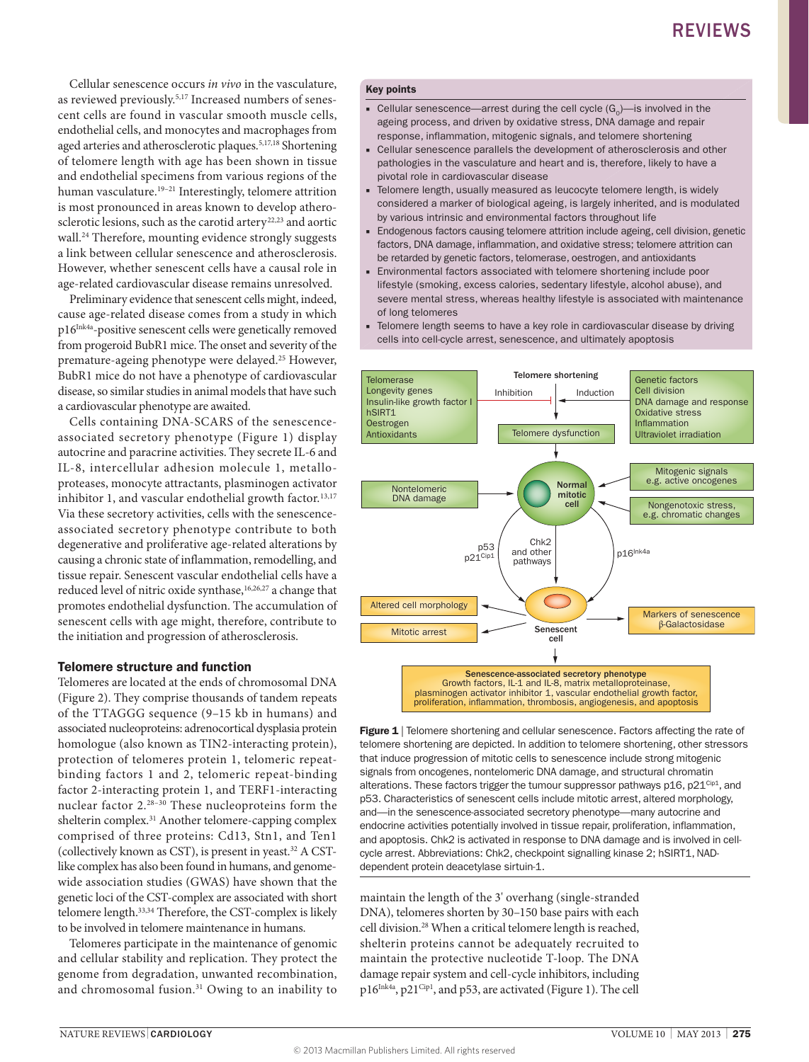Cellular senescence occurs *in vivo* in the vasculature, as reviewed previously.5,17 Increased numbers of senescent cells are found in vascular smooth muscle cells, endothelial cells, and monocytes and macrophages from aged arteries and atherosclerotic plaques.<sup>5,17,18</sup> Shortening of telomere length with age has been shown in tissue and endothelial specimens from various regions of the human vasculature.19–21 Interestingly, telomere attrition is most pronounced in areas known to develop atherosclerotic lesions, such as the carotid artery<sup>22,23</sup> and aortic wall.<sup>24</sup> Therefore, mounting evidence strongly suggests a link between cellular senescence and atherosclerosis. However, whether senescent cells have a causal role in age-related cardiovascular disease remains unresolved.

Preliminary evidence that senescent cells might, indeed, cause age-related disease comes from a study in which p16<sup>Ink4a</sup>-positive senescent cells were genetically removed from progeroid BubR1 mice. The onset and severity of the premature-ageing phenotype were delayed.25 However, BubR1 mice do not have a phenotype of cardiovascular disease, so similar studies in animal models that have such a cardiovascular phenotype are awaited.

Cells containing DNA-SCARS of the senescenceassociated secretory phenotype (Figure 1) display autocrine and paracrine activities. They secrete IL-6 and IL-8, intercellular adhesion molecule 1, metalloproteases, monocyte attractants, plasminogen activator inhibitor 1, and vascular endothelial growth factor.<sup>13,17</sup> Via these secretory activities, cells with the senescenceassociated secretory phenotype contribute to both degenerative and proliferative age-related alterations by causing a chronic state of inflammation, remodelling, and tissue repair. Senescent vascular endothelial cells have a reduced level of nitric oxide synthase,<sup>16,26,27</sup> a change that promotes endothelial dysfunction. The accumulation of senescent cells with age might, therefore, contribute to the initiation and progression of atherosclerosis.

#### Telomere structure and function

Telomeres are located at the ends of chromosomal DNA (Figure 2). They comprise thousands of tandem repeats of the TTAGGG sequence (9–15 kb in humans) and associated nucleoproteins: adrenocortical dysplasia protein homologue (also known as TIN2-interacting protein), protection of telomeres protein 1, telomeric repeatbinding factors 1 and 2, telomeric repeat-binding factor 2-interacting protein 1, and TERF1-interacting nuclear factor 2.28–30 These nucleoproteins form the shelterin complex.<sup>31</sup> Another telomere-capping complex comprised of three proteins: Cd13, Stn1, and Ten1 (collectively known as CST), is present in yeast.32 A CSTlike complex has also been found in humans, and genomewide association studies (GWAS) have shown that the genetic loci of the CST-complex are associated with short telomere length.33,34 Therefore, the CST-complex is likely to be involved in telomere maintenance in humans.

Telomeres participate in the maintenance of genomic and cellular stability and replication. They protect the genome from degradation, unwanted recombination, and chromosomal fusion.<sup>31</sup> Owing to an inability to

#### Key points

- **Cellular senescence—arrest during the cell cycle**  $(G_0)$ **—is involved in the** ageing process, and driven by oxidative stress, DNA damage and repair response, inflammation, mitogenic signals, and telomere shortening
- Cellular senescence parallels the development of atherosclerosis and other pathologies in the vasculature and heart and is, therefore, likely to have a pivotal role in cardiovascular disease
- Telomere length, usually measured as leucocyte telomere length, is widely considered a marker of biological ageing, is largely inherited, and is modulated by various intrinsic and environmental factors throughout life
- Endogenous factors causing telomere attrition include ageing, cell division, genetic factors, DNA damage, inflammation, and oxidative stress; telomere attrition can be retarded by genetic factors, telomerase, oestrogen, and antioxidants
- Environmental factors associated with telomere shortening include poor lifestyle (smoking, excess calories, sedentary lifestyle, alcohol abuse), and severe mental stress, whereas healthy lifestyle is associated with maintenance of long telomeres
- Telomere length seems to have a key role in cardiovascular disease by driving cells into cell-cycle arrest, senescence, and ultimately apoptosis



Figure 1 | Telomere shortening and cellular senescence. Factors affecting the rate of telomere shortening are depicted. In addition to telomere shortening, other stressors that induce progression of mitotic cells to senescence include strong mitogenic signals from oncogenes, nontelomeric DNA damage, and structural chromatin alterations. These factors trigger the tumour suppressor pathways  $p16$ ,  $p21^{\text{Cip1}}$ , and p53. Characteristics of senescent cells include mitotic arrest, altered morphology, and—in the senescence-associated secretory phenotype—many autocrine and endocrine activities potentially involved in tissue repair, proliferation, inflammation, and apoptosis. Chk2 is activated in response to DNA damage and is involved in cellcycle arrest. Abbreviations: Chk2, checkpoint signalling kinase 2; hSIRT1, NADdependent protein deacetylase sirtuin-1.

maintain the length of the 3' overhang (single-stranded DNA), telomeres shorten by 30–150 base pairs with each cell division.28 When a critical telomere length is reached, shelterin proteins cannot be adequately recruited to maintain the protective nucleotide T-loop. The DNA damage repair system and cell-cycle inhibitors, including p16Ink4a, p21<sup>Cip1</sup>, and p53, are activated (Figure 1). The cell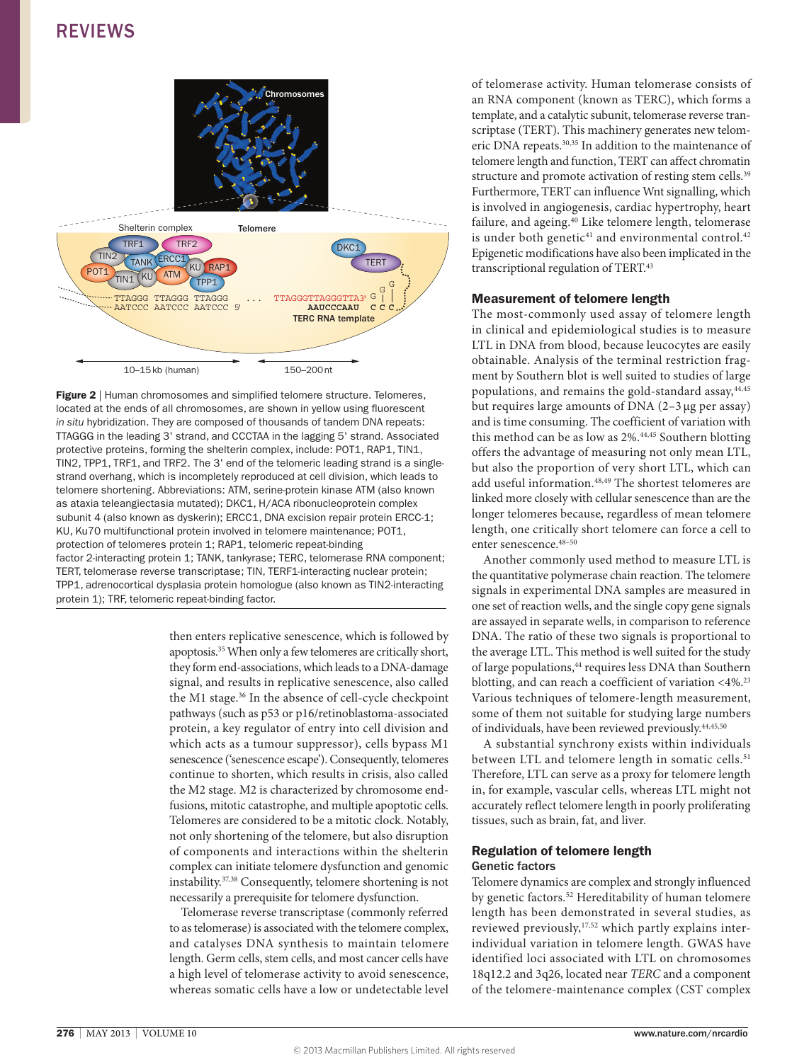### REVIEWS



Figure 2 | Human chromosomes and simplified telomere structure. Telomeres, located at the ends of all chromosomes, are shown in yellow using fluorescent *in situ* hybridization. They are composed of thousands of tandem DNA repeats: TTAGGG in the leading 3' strand, and CCCTAA in the lagging 5' strand. Associated protective proteins, forming the shelterin complex, include: POT1, RAP1, TIN1, TIN2, TPP1, TRF1, and TRF2. The 3' end of the telomeric leading strand is a singlestrand overhang, which is incompletely reproduced at cell division, which leads to telomere shortening. Abbreviations: ATM, serine-protein kinase ATM (also known as ataxia teleangiectasia mutated); DKC1, H/ACA ribonucleoprotein complex subunit 4 (also known as dyskerin); ERCC1, DNA excision repair protein ERCC-1; KU, Ku70 multifunctional protein involved in telomere maintenance; POT1, protection of telomeres protein 1; RAP1, telomeric repeat-binding factor 2-interacting protein 1; TANK, tankyrase; TERC, telomerase RNA component; TERT, telomerase reverse transcriptase; TIN, TERF1-interacting nuclear protein; TPP1, adrenocortical dysplasia protein homologue (also known as TIN2-interacting protein 1); TRF, telomeric repeat-binding factor.

then enters replicative senescence, which is followed by apoptosis.35 When only a few telomeres are critically short, they form end-associations, which leads to a DNA-damage signal, and results in replicative senescence, also called the M1 stage.<sup>36</sup> In the absence of cell-cycle checkpoint pathways (such as p53 or p16/retinoblastoma-associated protein, a key regulator of entry into cell division and which acts as a tumour suppressor), cells bypass M1 senescence ('senescence escape'). Consequently, telomeres continue to shorten, which results in crisis, also called the M2 stage. M2 is characterized by chromosome endfusions, mitotic catastrophe, and multiple apoptotic cells. Telomeres are considered to be a mitotic clock. Notably, not only shortening of the telomere, but also disruption of components and interactions within the shelterin complex can initiate telomere dysfunction and genomic instability.37,38 Consequently, telomere shortening is not necessarily a prerequisite for telomere dysfunction.

Telomerase reverse transcriptase (commonly referred to as telomerase) is associated with the telomere complex, and catalyses DNA synthesis to maintain telomere length. Germ cells, stem cells, and most cancer cells have a high level of telomerase activity to avoid senescence, whereas somatic cells have a low or undetectable level of telomerase activity. Human telomerase consists of an RNA component (known as TERC), which forms a template, and a catalytic subunit, telomerase reverse transcriptase (TERT). This machinery generates new telomeric DNA repeats.30,35 In addition to the maintenance of telomere length and function, TERT can affect chromatin structure and promote activation of resting stem cells.<sup>39</sup> Furthermore, TERT can influence Wnt signalling, which is involved in angiogenesis, cardiac hypertrophy, heart failure, and ageing.<sup>40</sup> Like telomere length, telomerase is under both genetic<sup>41</sup> and environmental control.<sup>42</sup> Epigenetic modifications have also been implicated in the transcriptional regulation of TERT.43

#### Measurement of telomere length

The most-commonly used assay of telomere length in clinical and epidemiological studies is to measure LTL in DNA from blood, because leucocytes are easily obtainable. Analysis of the terminal restriction fragment by Southern blot is well suited to studies of large populations, and remains the gold-standard assay, 44,45 but requires large amounts of DNA (2–3 μg per assay) and is time consuming. The coefficient of variation with this method can be as low as 2%.<sup>44,45</sup> Southern blotting offers the advantage of measuring not only mean LTL, but also the proportion of very short LTL, which can add useful information.<sup>48,49</sup> The shortest telomeres are linked more closely with cellular senescence than are the longer telomeres because, regardless of mean telomere length, one critically short telomere can force a cell to enter senescence.<sup>48-50</sup>

Another commonly used method to measure LTL is the quantitative polymerase chain reaction. The telomere signals in experimental DNA samples are measured in one set of reaction wells, and the single copy gene signals are assayed in separate wells, in comparison to reference DNA. The ratio of these two signals is proportional to the average LTL. This method is well suited for the study of large populations,<sup>44</sup> requires less DNA than Southern blotting, and can reach a coefficient of variation  $\langle 4\% \rangle^{23}$ Various techniques of telomere-length measurement, some of them not suitable for studying large numbers of individuals, have been reviewed previously.44,45,50

A substantial synchrony exists within individuals between LTL and telomere length in somatic cells.<sup>51</sup> Therefore, LTL can serve as a proxy for telomere length in, for example, vascular cells, whereas LTL might not accurately reflect telomere length in poorly proliferating tissues, such as brain, fat, and liver.

#### Regulation of telomere length Genetic factors

Telomere dynamics are complex and strongly influenced by genetic factors.<sup>52</sup> Hereditability of human telomere length has been demonstrated in several studies, as reviewed previously,<sup>17,52</sup> which partly explains interindividual variation in telomere length. GWAS have identified loci associated with LTL on chromosomes 18q12.2 and 3q26, located near *TERC* and a component of the telomere-maintenance complex (CST complex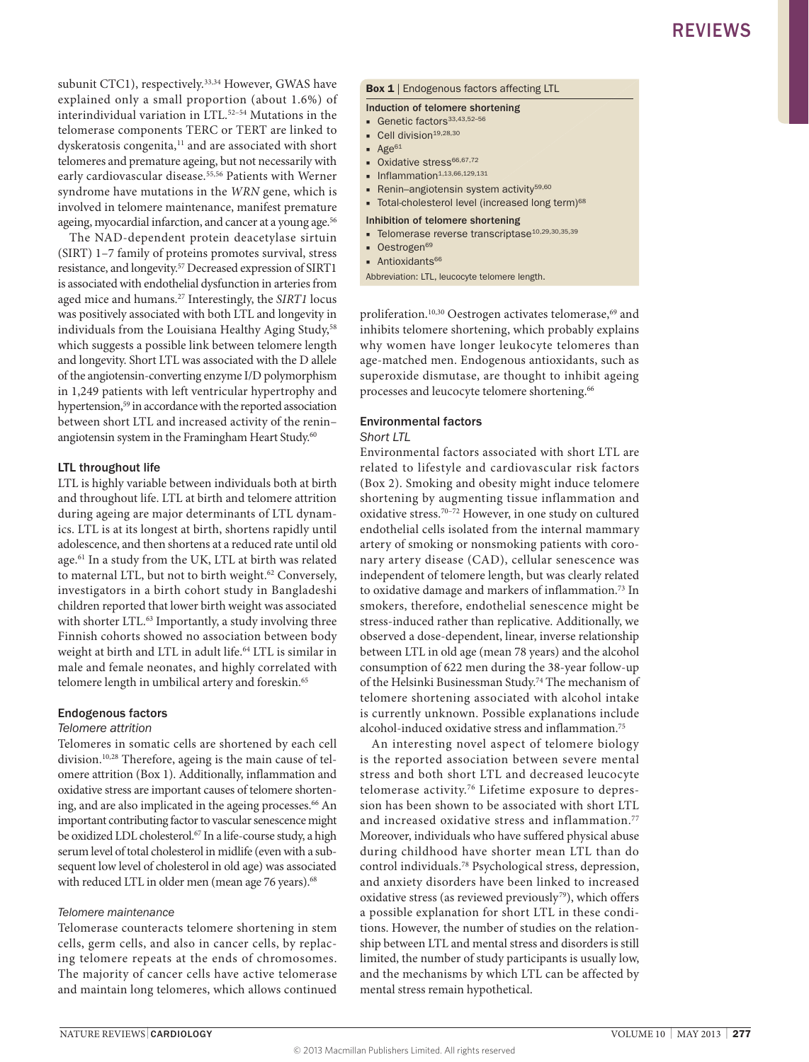subunit CTC1), respectively.<sup>33,34</sup> However, GWAS have explained only a small proportion (about 1.6%) of interindividual variation in LTL.52–54 Mutations in the telomerase components TERC or TERT are linked to dyskeratosis congenita,<sup>11</sup> and are associated with short telomeres and premature ageing, but not necessarily with early cardiovascular disease.<sup>55,56</sup> Patients with Werner syndrome have mutations in the *WRN* gene, which is involved in telomere maintenance, manifest premature ageing, myocardial infarction, and cancer at a young age.<sup>56</sup>

The NAD-dependent protein deacetylase sirtuin (SIRT) 1–7 family of proteins promotes survival, stress resistance, and longevity.57 Decreased expression of SIRT1 is associated with endothelial dysfunction in arteries from aged mice and humans.27 Interestingly, the *SIRT1* locus was positively associated with both LTL and longevity in individuals from the Louisiana Healthy Aging Study,<sup>58</sup> which suggests a possible link between telomere length and longevity. Short LTL was associated with the D allele of the angiotensin-converting enzyme I/D polymorphism in 1,249 patients with left ventricular hypertrophy and hypertension,<sup>59</sup> in accordance with the reported association between short LTL and increased activity of the renin– angiotensin system in the Framingham Heart Study.<sup>60</sup>

#### LTL throughout life

LTL is highly variable between individuals both at birth and throughout life. LTL at birth and telomere attrition during ageing are major determinants of LTL dynamics. LTL is at its longest at birth, shortens rapidly until adolescence, and then shortens at a reduced rate until old age.<sup>61</sup> In a study from the UK, LTL at birth was related to maternal LTL, but not to birth weight.<sup>62</sup> Conversely, investigators in a birth cohort study in Bangladeshi children reported that lower birth weight was associated with shorter LTL.<sup>63</sup> Importantly, a study involving three Finnish cohorts showed no association between body weight at birth and LTL in adult life.64 LTL is similar in male and female neonates, and highly correlated with telomere length in umbilical artery and foreskin.<sup>65</sup>

#### Endogenous factors

#### *Telomere attrition*

Telomeres in somatic cells are shortened by each cell division.10,28 Therefore, ageing is the main cause of telomere attrition (Box 1). Additionally, inflammation and oxidative stress are important causes of telomere shortening, and are also implicated in the ageing processes.<sup>66</sup> An important contributing factor to vascular senescence might be oxidized LDL cholesterol.<sup>67</sup> In a life-course study, a high serum level of total cholesterol in midlife (even with a subsequent low level of cholesterol in old age) was associated with reduced LTL in older men (mean age 76 years).<sup>68</sup>

#### *Telomere maintenance*

Telomerase counteracts telomere shortening in stem cells, germ cells, and also in cancer cells, by replacing telomere repeats at the ends of chromosomes. The majority of cancer cells have active telomerase and maintain long telomeres, which allows continued

#### **Box 1** | Endogenous factors affecting LTL

#### Induction of telomere shortening

- Genetic factors<sup>33,43,52-5</sup>
- $\blacksquare$  Cell division<sup>19,28,30</sup>
- $\blacksquare$  Age<sup>61</sup>
- Oxidative stress<sup>66,67,72</sup>
- $\blacksquare$  Inflammation<sup>1,13,66,129,131</sup>
- Renin–angiotensin system activity<sup>59,60</sup>
- Total-cholesterol level (increased long term)<sup>68</sup>

#### Inhibition of telomere shortening

- Telomerase reverse transcriptase<sup>10,29,30,35,39</sup>
- Oestrogen<sup>69</sup>
- Antioxidants<sup>66</sup>

Abbreviation: LTL, leucocyte telomere length.

proliferation.<sup>10,30</sup> Oestrogen activates telomerase,<sup>69</sup> and inhibits telomere shortening, which probably explains why women have longer leukocyte telomeres than age-matched men. Endogenous antioxidants, such as superoxide dismutase, are thought to inhibit ageing processes and leucocyte telomere shortening.<sup>66</sup>

#### Environmental factors

#### *Short LTL*

Environmental factors associated with short LTL are related to lifestyle and cardiovascular risk factors (Box 2). Smoking and obesity might induce telomere shortening by augmenting tissue inflammation and oxidative stress.70–72 However, in one study on cultured endothelial cells isolated from the internal mammary artery of smoking or nonsmoking patients with coronary artery disease (CAD), cellular senescence was independent of telomere length, but was clearly related to oxidative damage and markers of inflammation.73 In smokers, therefore, endothelial senescence might be stress-induced rather than replicative. Additionally, we observed a dose-dependent, linear, inverse relationship between LTL in old age (mean 78 years) and the alcohol consumption of 622 men during the 38-year follow-up of the Helsinki Businessman Study.74 The mechanism of telomere shortening associated with alcohol intake is currently unknown. Possible explanations include alcohol-induced oxidative stress and inflammation.75

An interesting novel aspect of telomere biology is the reported association between severe mental stress and both short LTL and decreased leucocyte telomerase activity.76 Lifetime exposure to depression has been shown to be associated with short LTL and increased oxidative stress and inflammation.<sup>77</sup> Moreover, individuals who have suffered physical abuse during childhood have shorter mean LTL than do control individuals.78 Psychological stress, depression, and anxiety disorders have been linked to increased oxidative stress (as reviewed previously<sup>79</sup>), which offers a possible explanation for short LTL in these conditions. However, the number of studies on the relationship between LTL and mental stress and disorders is still limited, the number of study participants is usually low, and the mechanisms by which LTL can be affected by mental stress remain hypothetical.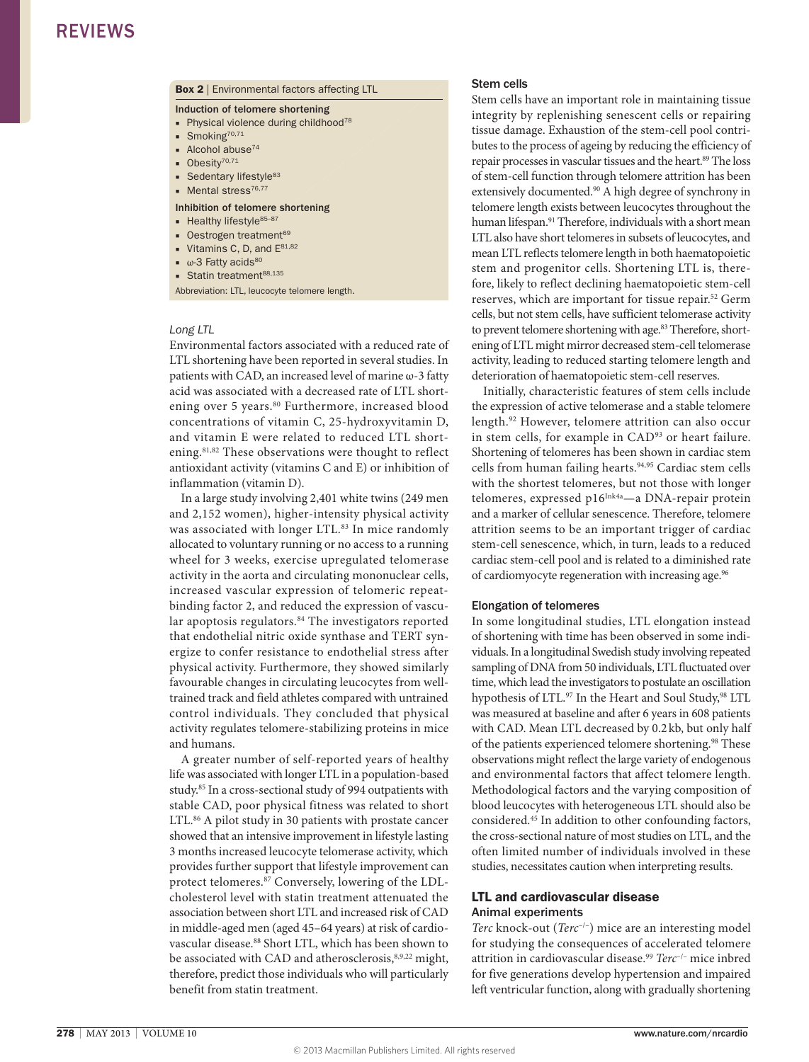#### **Box 2** | Environmental factors affecting LTL

#### Induction of telomere shortening

- Physical violence during childhood<sup>78</sup>
- $\blacksquare$  Smoking<sup>70,71</sup>
- Alcohol abuse<sup>74</sup>
- Obesity<sup>70,71</sup>
- $\blacksquare$  Sedentary lifestyle<sup>83</sup>
- Mental stress<sup>76,77</sup>

#### Inhibition of telomere shortening

- Healthy lifestyle<sup>85-87</sup>
- Oestrogen treatment<sup>69</sup>
- Vitamins C, D, and  $E^{81,82}$
- $\bullet$   $\omega$ -3 Fatty acids<sup>80</sup>
- Statin treatment<sup>88,135</sup>

Abbreviation: LTL, leucocyte telomere length.

#### *Long LTL*

Environmental factors associated with a reduced rate of LTL shortening have been reported in several studies. In patients with CAD, an increased level of marine ω-3 fatty acid was associated with a decreased rate of LTL shortening over 5 years.<sup>80</sup> Furthermore, increased blood concentrations of vitamin C, 25-hydroxyvitamin D, and vitamin E were related to reduced LTL shortening.81,82 These observations were thought to reflect antioxidant activity (vitamins C and E) or inhibition of inflammation (vitamin D).

In a large study involving 2,401 white twins (249 men and 2,152 women), higher-intensity physical activity was associated with longer LTL.<sup>83</sup> In mice randomly allocated to voluntary running or no access to a running wheel for 3 weeks, exercise upregulated telomerase activity in the aorta and circulating mononuclear cells, increased vascular expression of telomeric repeatbinding factor 2, and reduced the expression of vascular apoptosis regulators.<sup>84</sup> The investigators reported that endothelial nitric oxide synthase and TERT synergize to confer resistance to endothelial stress after physical activity. Furthermore, they showed similarly favourable changes in circulating leucocytes from welltrained track and field athletes compared with untrained control individuals. They concluded that physical activity regulates telomere-stabilizing proteins in mice and humans.

A greater number of self-reported years of healthy life was associated with longer LTL in a population-based study.85 In a cross-sectional study of 994 outpatients with stable CAD, poor physical fitness was related to short LTL.<sup>86</sup> A pilot study in 30 patients with prostate cancer showed that an intensive improvement in lifestyle lasting 3 months increased leucocyte telomerase activity, which provides further support that lifestyle improvement can protect telomeres.87 Conversely, lowering of the LDLcholesterol level with statin treatment attenuated the association between short LTL and increased risk of CAD in middle-aged men (aged 45–64 years) at risk of cardiovascular disease.88 Short LTL, which has been shown to be associated with CAD and atherosclerosis, 8,9,22 might, therefore, predict those individuals who will particularly benefit from statin treatment.

#### Stem cells

Stem cells have an important role in maintaining tissue integrity by replenishing senescent cells or repairing tissue damage. Exhaustion of the stem-cell pool contributes to the process of ageing by reducing the efficiency of repair processes in vascular tissues and the heart.<sup>89</sup> The loss of stem-cell function through telomere attrition has been extensively documented.<sup>90</sup> A high degree of synchrony in telomere length exists between leucocytes throughout the human lifespan.<sup>91</sup> Therefore, individuals with a short mean LTL also have short telomeres in subsets of leucocytes, and mean LTL reflects telomere length in both haematopoietic stem and progenitor cells. Shortening LTL is, therefore, likely to reflect declining haematopoietic stem-cell reserves, which are important for tissue repair.52 Germ cells, but not stem cells, have sufficient telomerase activity to prevent telomere shortening with age.<sup>83</sup> Therefore, shortening of LTL might mirror decreased stem-cell telomerase activity, leading to reduced starting telomere length and deterioration of haematopoietic stem-cell reserves.

Initially, characteristic features of stem cells include the expression of active telomerase and a stable telomere length.92 However, telomere attrition can also occur in stem cells, for example in CAD93 or heart failure. Shortening of telomeres has been shown in cardiac stem cells from human failing hearts.<sup>94,95</sup> Cardiac stem cells with the shortest telomeres, but not those with longer telomeres, expressed p16Ink4a—a DNA-repair protein and a marker of cellular senescence. Therefore, telomere attrition seems to be an important trigger of cardiac stem-cell senescence, which, in turn, leads to a reduced cardiac stem-cell pool and is related to a diminished rate of cardiomyocyte regeneration with increasing age.<sup>96</sup>

#### Elongation of telomeres

In some longitudinal studies, LTL elongation instead of shortening with time has been observed in some individuals. In a longitudinal Swedish study involving repeated sampling of DNA from 50 individuals, LTL fluctuated over time, which lead the investigators to postulate an oscillation hypothesis of LTL.97 In the Heart and Soul Study,98 LTL was measured at baseline and after 6 years in 608 patients with CAD. Mean LTL decreased by 0.2kb, but only half of the patients experienced telomere shortening.<sup>98</sup> These observations might reflect the large variety of endogenous and environmental factors that affect telomere length. Methodological factors and the varying composition of blood leucocytes with heterogeneous LTL should also be considered.45 In addition to other confounding factors, the cross-sectional nature of most studies on LTL, and the often limited number of individuals involved in these studies, necessitates caution when interpreting results.

#### LTL and cardiovascular disease Animal experiments

*Terc* knock-out (*Terc*–/–) mice are an interesting model for studying the consequences of accelerated telomere attrition in cardiovascular disease.99 *Terc*–/– mice inbred for five generations develop hypertension and impaired left ventricular function, along with gradually shortening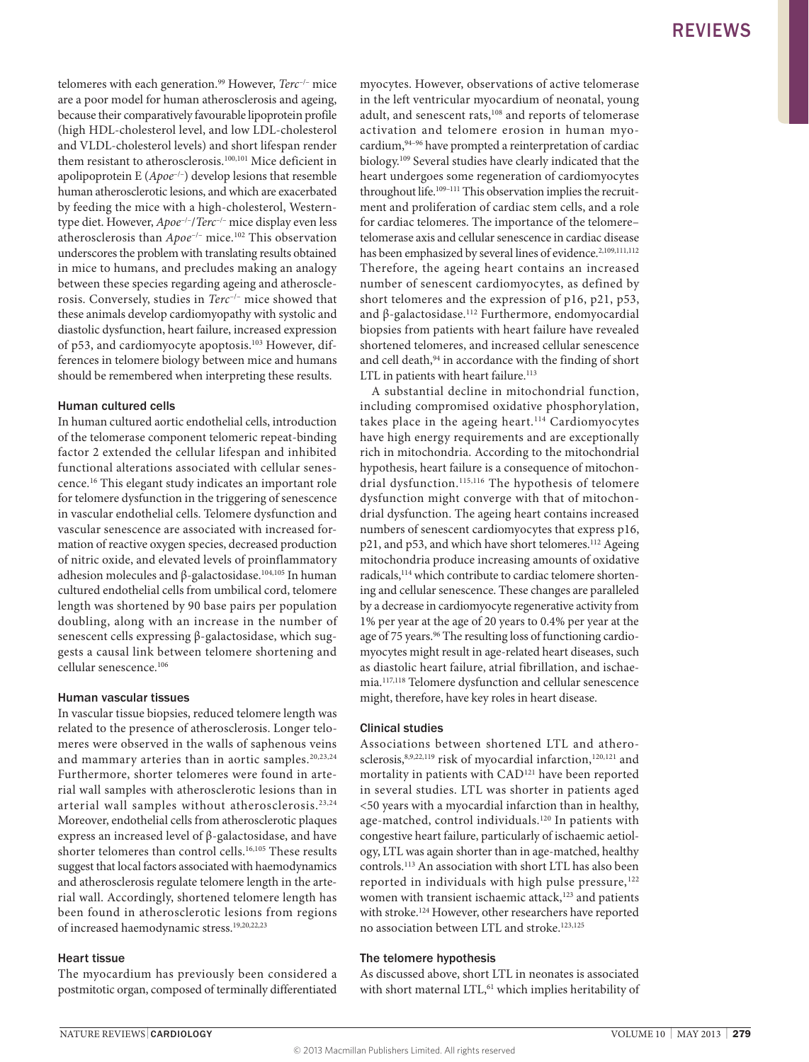telomeres with each generation.<sup>99</sup> However, *Terc<sup>-/-</sup>* mice are a poor model for human atherosclerosis and ageing, because their comparatively favourable lipoprotein profile (high HDL-cholesterol level, and low LDL-cholesterol and VLDL-cholesterol levels) and short lifespan render them resistant to atherosclerosis.<sup>100,101</sup> Mice deficient in apolipoprotein E (*Apoe*–/–) develop lesions that resemble human atherosclerotic lesions, and which are exacerbated by feeding the mice with a high-cholesterol, Westerntype diet. However, *Apoe*–/–/*Terc*–/– mice display even less atherosclerosis than *Apoe*–/– mice.102 This observation underscores the problem with translating results obtained in mice to humans, and precludes making an analogy between these species regarding ageing and atherosclerosis. Conversely, studies in *Terc*–/– mice showed that these animals develop cardiomyopathy with systolic and diastolic dysfunction, heart failure, increased expression of p53, and cardiomyocyte apoptosis.103 However, differences in telomere biology between mice and humans should be remembered when interpreting these results.

#### Human cultured cells

In human cultured aortic endothelial cells, introduction of the telomerase component telomeric repeat-binding factor 2 extended the cellular lifespan and inhibited functional alterations associated with cellular senescence.16 This elegant study indicates an important role for telomere dysfunction in the triggering of senescence in vascular endothelial cells. Telomere dysfunction and vascular senescence are associated with increased formation of reactive oxygen species, decreased production of nitric oxide, and elevated levels of proinflammatory adhesion molecules and β-galactosidase.<sup>104,105</sup> In human cultured endothelial cells from umbilical cord, telomere length was shortened by 90 base pairs per population doubling, along with an increase in the number of senescent cells expressing β-galactosidase, which suggests a causal link between telomere shortening and cellular senescence.106

#### Human vascular tissues

In vascular tissue biopsies, reduced telomere length was related to the presence of atherosclerosis. Longer telomeres were observed in the walls of saphenous veins and mammary arteries than in aortic samples.<sup>20,23,24</sup> Furthermore, shorter telomeres were found in arterial wall samples with atherosclerotic lesions than in arterial wall samples without atherosclerosis.23,24 Moreover, endothelial cells from atherosclerotic plaques express an increased level of β-galactosidase, and have shorter telomeres than control cells.<sup>16,105</sup> These results suggest that local factors associated with haemodynamics and atherosclerosis regulate telomere length in the arterial wall. Accordingly, shortened telomere length has been found in atherosclerotic lesions from regions of increased haemodynamic stress.19,20,22,23

#### Heart tissue

The myocardium has previously been considered a postmitotic organ, composed of terminally differentiated

myocytes. However, observations of active telomerase in the left ventricular myocardium of neonatal, young adult, and senescent rats,<sup>108</sup> and reports of telomerase activation and telomere erosion in human myocardium,94–96 have prompted a reinterpretation of cardiac biology.109 Several studies have clearly indicated that the heart undergoes some regeneration of cardiomyocytes throughout life.109–111 This observation implies the recruitment and proliferation of cardiac stem cells, and a role for cardiac telomeres. The importance of the telomere– telomerase axis and cellular senescence in cardiac disease has been emphasized by several lines of evidence.<sup>2,109,111,112</sup> Therefore, the ageing heart contains an increased number of senescent cardiomyocytes, as defined by short telomeres and the expression of p16, p21, p53, and β-galactosidase.112 Furthermore, endomyocardial biopsies from patients with heart failure have revealed shortened telomeres, and increased cellular senescence and cell death,<sup>94</sup> in accordance with the finding of short LTL in patients with heart failure.<sup>113</sup>

A substantial decline in mitochondrial function, including compromised oxidative phosphorylation, takes place in the ageing heart.<sup>114</sup> Cardiomyocytes have high energy requirements and are exceptionally rich in mitochondria. According to the mitochondrial hypothesis, heart failure is a consequence of mitochondrial dysfunction.<sup>115,116</sup> The hypothesis of telomere dysfunction might converge with that of mitochondrial dysfunction. The ageing heart contains increased numbers of senescent cardiomyocytes that express p16, p21, and p53, and which have short telomeres.<sup>112</sup> Ageing mitochondria produce increasing amounts of oxidative radicals,<sup>114</sup> which contribute to cardiac telomere shortening and cellular senescence. These changes are paralleled by a decrease in cardiomyocyte regenerative activity from 1% per year at the age of 20 years to 0.4% per year at the age of 75 years.<sup>96</sup> The resulting loss of functioning cardiomyocytes might result in age-related heart diseases, such as diastolic heart failure, atrial fibrillation, and ischaemia.117,118 Telomere dysfunction and cellular senescence might, therefore, have key roles in heart disease.

#### Clinical studies

Associations between shortened LTL and atherosclerosis,<sup>8,9,22,119</sup> risk of myocardial infarction,<sup>120,121</sup> and mortality in patients with CAD<sup>121</sup> have been reported in several studies. LTL was shorter in patients aged <50 years with a myocardial infarction than in healthy, age-matched, control individuals.120 In patients with congestive heart failure, particularly of ischaemic aetiology, LTL was again shorter than in age-matched, healthy controls.113 An association with short LTL has also been reported in individuals with high pulse pressure,<sup>122</sup> women with transient ischaemic attack,<sup>123</sup> and patients with stroke.<sup>124</sup> However, other researchers have reported no association between LTL and stroke.123,125

#### The telomere hypothesis

As discussed above, short LTL in neonates is associated with short maternal LTL,<sup>61</sup> which implies heritability of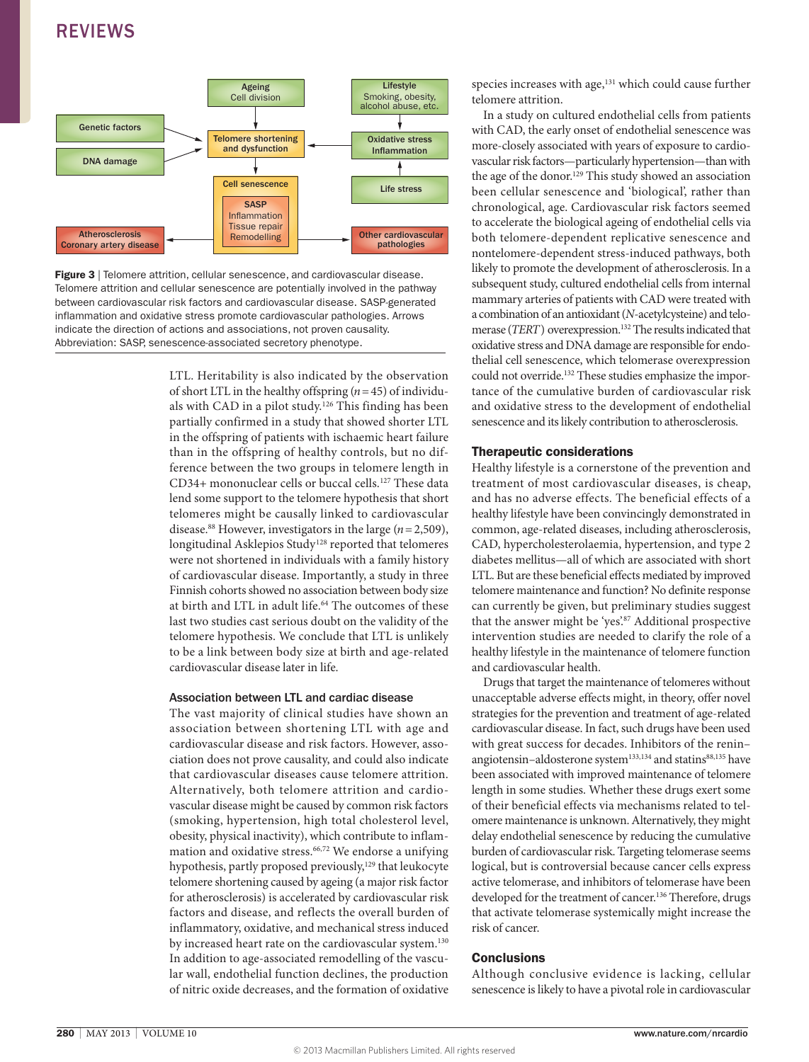

**Figure 3** | Telomere attrition, cellular senescence, and cardiovascular disease. Telomere attrition and cellular senescence are potentially involved in the pathway between cardiovascular risk factors and cardiovascular disease. SASP-generated inflammation and oxidative stress promote cardiovascular pathologies. Arrows indicate the direction of actions and associations, not proven causality. Abbreviation: SASP, senescence-associated secretory phenotype.

LTL. Heritability is also indicated by the observation of short LTL in the healthy offspring (*n*=45) of individuals with CAD in a pilot study.<sup>126</sup> This finding has been partially confirmed in a study that showed shorter LTL in the offspring of patients with ischaemic heart failure than in the offspring of healthy controls, but no difference between the two groups in telomere length in CD34+ mononuclear cells or buccal cells.127 These data lend some support to the telomere hypothesis that short telomeres might be causally linked to cardiovascular disease.<sup>88</sup> However, investigators in the large  $(n=2,509)$ , longitudinal Asklepios Study<sup>128</sup> reported that telomeres were not shortened in individuals with a family history of cardiovascular disease. Importantly, a study in three Finnish cohorts showed no association between body size at birth and LTL in adult life.<sup>64</sup> The outcomes of these last two studies cast serious doubt on the validity of the telomere hypothesis. We conclude that LTL is unlikely to be a link between body size at birth and age-related cardiovascular disease later in life.

#### Association between LTL and cardiac disease

The vast majority of clinical studies have shown an association between shortening LTL with age and cardiovascular disease and risk factors. However, association does not prove causality, and could also indicate that cardiovascular diseases cause telomere attrition. Alternatively, both telomere attrition and cardiovascular disease might be caused by common risk factors (smoking, hypertension, high total cholesterol level, obesity, physical inactivity), which contribute to inflammation and oxidative stress.66,72 We endorse a unifying hypothesis, partly proposed previously,<sup>129</sup> that leukocyte telomere shortening caused by ageing (a major risk factor for atherosclerosis) is accelerated by cardiovascular risk factors and disease, and reflects the overall burden of inflammatory, oxidative, and mechanical stress induced by increased heart rate on the cardiovascular system.<sup>130</sup> In addition to age-associated remodelling of the vascular wall, endothelial function declines, the production of nitric oxide decreases, and the formation of oxidative species increases with age,<sup>131</sup> which could cause further telomere attrition.

In a study on cultured endothelial cells from patients with CAD, the early onset of endothelial senescence was more-closely associated with years of exposure to cardiovascular risk factors—particularly hypertension—than with the age of the donor.129 This study showed an association been cellular senescence and 'biological', rather than chronological, age. Cardiovascular risk factors seemed to accelerate the biological ageing of endothelial cells via both telomere-dependent replicative senescence and nontelomere-dependent stress-induced pathways, both likely to promote the development of atherosclerosis. In a subsequent study, cultured endothelial cells from internal mammary arteries of patients with CAD were treated with a combination of an antioxidant (*N*-acetylcysteine) and telomerase (*TERT*) overexpression.132 The results indicated that oxidative stress and DNA damage are responsible for endothelial cell senescence, which telomerase overexpression could not override.132 These studies emphasize the importance of the cumulative burden of cardiovascular risk and oxidative stress to the development of endothelial senescence and its likely contribution to atherosclerosis.

#### Therapeutic considerations

Healthy lifestyle is a cornerstone of the prevention and treatment of most cardiovascular diseases, is cheap, and has no adverse effects. The beneficial effects of a healthy lifestyle have been convincingly demonstrated in common, age-related diseases, including atherosclerosis, CAD, hypercholesterolaemia, hypertension, and type 2 diabetes mellitus—all of which are associated with short LTL. But are these beneficial effects mediated by improved telomere maintenance and function? No definite response can currently be given, but preliminary studies suggest that the answer might be 'yes'.87 Additional prospective intervention studies are needed to clarify the role of a healthy lifestyle in the maintenance of telomere function and cardiovascular health.

Drugs that target the maintenance of telomeres without unacceptable adverse effects might, in theory, offer novel strategies for the prevention and treatment of age-related cardiovascular disease. In fact, such drugs have been used with great success for decades. Inhibitors of the renin– angiotensin-aldosterone system<sup>133,134</sup> and statins<sup>88,135</sup> have been associated with improved maintenance of telomere length in some studies. Whether these drugs exert some of their beneficial effects via mechanisms related to telomere maintenance is unknown. Alternatively, they might delay endothelial senescence by reducing the cumulative burden of cardiovascular risk. Targeting telomerase seems logical, but is controversial because cancer cells express active telomerase, and inhibitors of telomerase have been developed for the treatment of cancer.<sup>136</sup> Therefore, drugs that activate telomerase systemically might increase the risk of cancer.

#### **Conclusions**

Although conclusive evidence is lacking, cellular senescence is likely to have a pivotal role in cardiovascular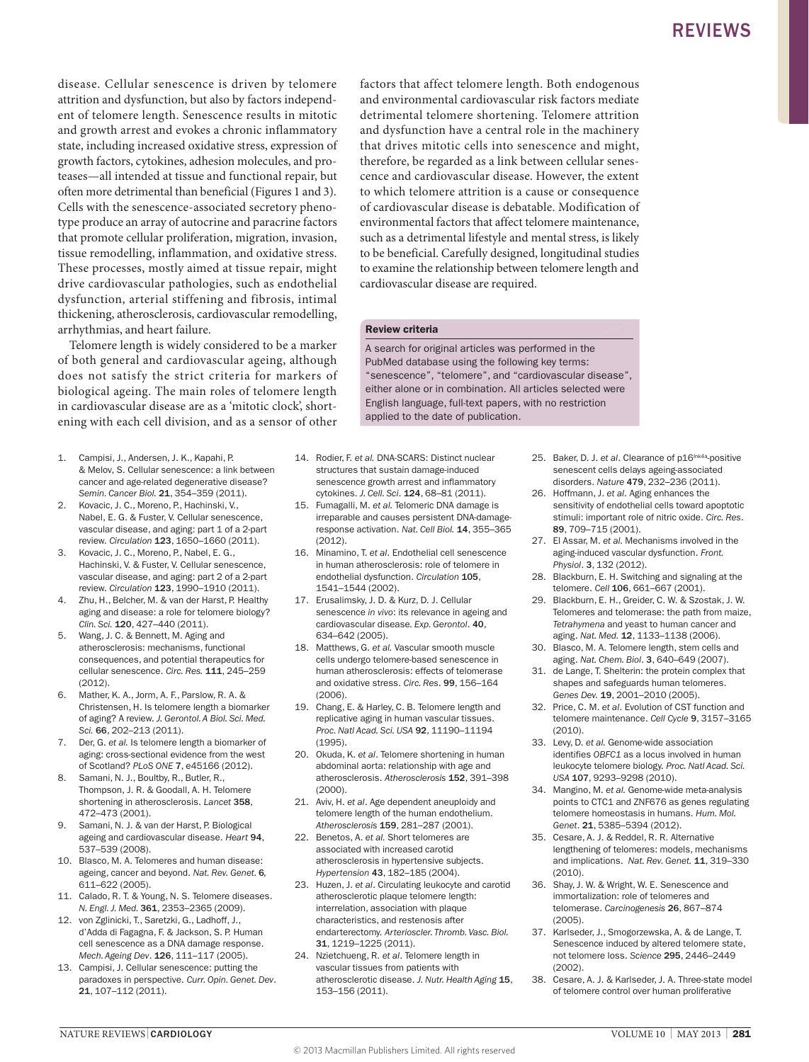disease. Cellular senescence is driven by telomere attrition and dysfunction, but also by factors independent of telomere length. Senescence results in mitotic and growth arrest and evokes a chronic inflammatory state, including increased oxidative stress, expression of growth factors, cytokines, adhesion molecules, and proteases—all intended at tissue and functional repair, but often more detrimental than beneficial (Figures 1 and 3). Cells with the senescence-associated secretory phenotype produce an array of autocrine and paracrine factors that promote cellular proliferation, migration, invasion, tissue remodelling, inflammation, and oxidative stress. These processes, mostly aimed at tissue repair, might drive cardiovascular pathologies, such as endothelial dysfunction, arterial stiffening and fibrosis, intimal thickening, atherosclerosis, cardiovascular remodelling, arrhythmias, and heart failure.

Telomere length is widely considered to be a marker of both general and cardiovascular ageing, although does not satisfy the strict criteria for markers of biological ageing. The main roles of telomere length in cardiovascular disease are as a 'mitotic clock', shortening with each cell division, and as a sensor of other

- 1. Campisi, J., Andersen, J. K., Kapahi, P. & Melov, S. Cellular senescence: a link between cancer and age-related degenerative disease? *Semin. Cancer Biol.* 21, 354–359 (2011).
- 2. Kovacic, J. C., Moreno, P., Hachinski, V., Nabel, E. G. & Fuster, V. Cellular senescence, vascular disease, and aging: part 1 of a 2-part review. *Circulation* 123, 1650–1660 (2011).
- 3. Kovacic, J. C., Moreno, P., Nabel, E. G., Hachinski, V. & Fuster, V. Cellular senescence, vascular disease, and aging: part 2 of a 2-part review. *Circulation* 123, 1990–1910 (2011).
- 4. Zhu, H., Belcher, M. & van der Harst, P. Healthy aging and disease: a role for telomere biology? *Clin. Sci.* 120, 427–440 (2011).
- 5. Wang, J. C. & Bennett, M. Aging and atherosclerosis: mechanisms, functional consequences, and potential therapeutics for cellular senescence. *Circ. Res.* 111, 245–259 (2012).
- 6. Mather, K. A., Jorm, A. F., Parslow, R. A. & Christensen, H. Is telomere length a biomarker of aging? A review. *J. Gerontol. A Biol. Sci. Med. Sci.* 66, 202–213 (2011).
- 7. Der, G. *et al.* Is telomere length a biomarker of aging: cross-sectional evidence from the west of Scotland? *PLoS ONE* 7, e45166 (2012).
- 8. Samani, N. J., Boultby, R., Butler, R., Thompson, J. R. & Goodall, A. H. Telomere shortening in atherosclerosis. *Lancet* 358, 472–473 (2001).
- 9. Samani, N. J. & van der Harst, P. Biological ageing and cardiovascular disease. *Heart* 94, 537–539 (2008).
- 10. Blasco, M. A. Telomeres and human disease: ageing, cancer and beyond. *Nat. Rev. Genet.* 6*,*  611–622 (2005).
- 11. Calado, R. T. & Young, N. S. Telomere diseases. *N. Engl. J. Med.* 361, 2353–2365 (2009).
- 12. von Zglinicki, T., Saretzki, G., Ladhoff, J., d'Adda di Fagagna, F. & Jackson, S. P. Human cell senescence as a DNA damage response. *Mech. Ageing Dev*. 126, 111–117 (2005).
- 13. Campisi, J. Cellular senescence: putting the paradoxes in perspective. *Curr. Opin. Genet. Dev*. 21, 107–112 (2011).

factors that affect telomere length. Both endogenous and environmental cardiovascular risk factors mediate detrimental telomere shortening. Telomere attrition and dysfunction have a central role in the machinery that drives mitotic cells into senescence and might, therefore, be regarded as a link between cellular senescence and cardiovascular disease. However, the extent to which telomere attrition is a cause or consequence of cardiovascular disease is debatable. Modification of environmental factors that affect telomere maintenance, such as a detrimental lifestyle and mental stress, is likely to be beneficial. Carefully designed, longitudinal studies to examine the relationship between telomere length and cardiovascular disease are required.

#### Review criteria

A search for original articles was performed in the PubMed database using the following key terms: "senescence", "telomere", and "cardiovascular disease", either alone or in combination. All articles selected were English language, full-text papers, with no restriction applied to the date of publication.

- 14. Rodier, F. *et al.* DNA‑SCARS: Distinct nuclear structures that sustain damage-induced senescence growth arrest and inflammatory cytokines. *J. Cell. Sci*. 124, 68–81 (2011).
- 15. Fumagalli, M. *et al.* Telomeric DNA damage is irreparable and causes persistent DNA-damageresponse activation. *Nat. Cell Biol.* 14, 355–365 (2012).
- 16. Minamino, T. *et al*. Endothelial cell senescence in human atherosclerosis: role of telomere in endothelial dysfunction. *Circulation* 105, 1541–1544 (2002).
- 17. Erusalimsky, J. D. & Kurz, D. J. Cellular senescence *in vivo*: its relevance in ageing and cardiovascular disease*. Exp. Gerontol*. 40, 634–642 (2005).
- 18. Matthews, G. *et al.* Vascular smooth muscle cells undergo telomere-based senescence in human atherosclerosis: effects of telomerase and oxidative stress. *Circ. Res*. 99, 156–164 (2006).
- 19. Chang, E. & Harley, C. B. Telomere length and replicative aging in human vascular tissues. *Proc. Natl Acad. Sci. USA* 92, 11190–11194 (1995).
- 20. Okuda, K. *et al*. Telomere shortening in human abdominal aorta: relationship with age and atherosclerosis. *Atherosclerosis* 152, 391–398 (2000).
- 21. Aviv, H. *et al*. Age dependent aneuploidy and telomere length of the human endothelium. *Atherosclerosis* 159, 281–287 (2001).
- 22. Benetos, A. *et al.* Short telomeres are associated with increased carotid atherosclerosis in hypertensive subjects. *Hypertension* 43, 182–185 (2004).
- 23. Huzen, J. *et al*. Circulating leukocyte and carotid atherosclerotic plaque telomere length: interrelation, association with plaque characteristics, and restenosis after endarterectomy. *Arterioscler. Thromb. Vasc. Biol.* 31, 1219–1225 (2011).
- 24. Nzietchueng, R. *et al*. Telomere length in vascular tissues from patients with atherosclerotic disease. *J. Nutr. Health Aging* 15, 153–156 (2011).
- 25. Baker, D. J. et al. Clearance of p16<sup>Ink4a</sup>-positive senescent cells delays ageing-associated disorders. *Nature* 479, 232–236 (2011).
- 26. Hoffmann, J. *et al*. Aging enhances the sensitivity of endothelial cells toward apoptotic stimuli: important role of nitric oxide. *Circ. Res*. 89, 709–715 (2001).
- 27. El Assar, M. *et al.* Mechanisms involved in the aging-induced vascular dysfunction. *Front. Physiol*. 3, 132 (2012).
- 28. Blackburn, E. H. Switching and signaling at the telomere. *Cell* 106, 661–667 (2001).
- 29. Blackburn, E. H., Greider, C. W. & Szostak, J. W. Telomeres and telomerase: the path from maize, *Tetrahymena* and yeast to human cancer and aging. *Nat. Med.* 12, 1133–1138 (2006).
- 30. Blasco, M. A. Telomere length, stem cells and aging. *Nat. Chem. Biol*. 3, 640–649 (2007).
- 31. de Lange, T. Shelterin: the protein complex that shapes and safeguards human telomeres. *Genes Dev.* 19, 2001–2010 (2005).
- 32. Price, C. M. *et al*. Evolution of CST function and telomere maintenance. *Cell Cycle* 9, 3157–3165 (2010).
- 33. Levy, D. *et al.* Genome-wide association identifies *OBFC1* as a locus involved in human leukocyte telomere biology. *Proc. Natl Acad. Sci. USA* 107, 9293–9298 (2010).
- 34. Mangino, M. *et al.* Genome-wide meta-analysis points to CTC1 and ZNF676 as genes regulating telomere homeostasis in humans. *Hum. Mol. Genet*. 21, 5385–5394 (2012).
- 35. Cesare, A. J. & Reddel, R. R. Alternative lengthening of telomeres: models, mechanisms and implications. *Nat. Rev. Genet.* 11, 319–330 (2010).
- 36. Shay, J. W. & Wright, W. E. Senescence and immortalization: role of telomeres and telomerase. *Carcinogenesis* 26, 867–874 (2005).
- 37. Karlseder, J., Smogorzewska, A. & de Lange, T. Senescence induced by altered telomere state, not telomere loss. *Science* 295, 2446–2449 (2002).
- 38. Cesare, A. J. & Karlseder, J. A. Three-state model of telomere control over human proliferative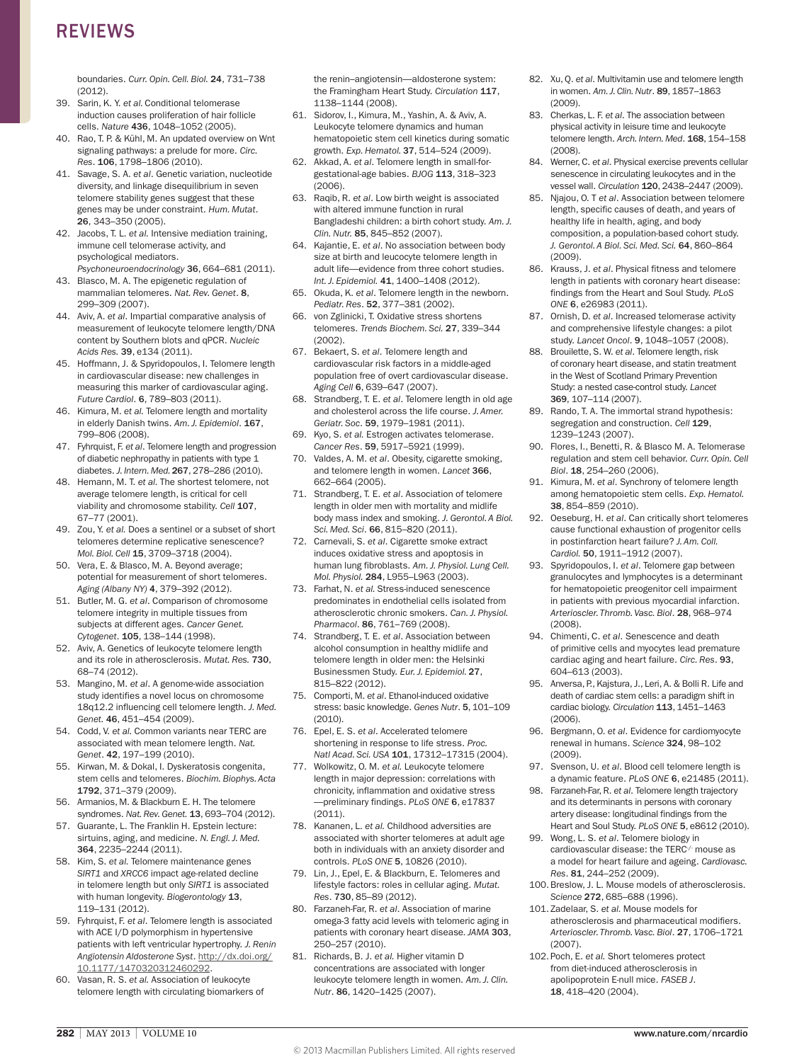## REVIEWS

boundaries. *Curr. Opin. Cell. Biol.* 24, 731–738 (2012).

- 39. Sarin, K. Y. *et al.* Conditional telomerase induction causes proliferation of hair follicle cells. *Nature* 436, 1048–1052 (2005).
- 40. Rao, T. P. & Kühl, M. An updated overview on Wnt signaling pathways: a prelude for more. *Circ. Res*. 106, 1798–1806 (2010).
- 41. Savage, S. A. *et al*. Genetic variation, nucleotide diversity, and linkage disequilibrium in seven telomere stability genes suggest that these genes may be under constraint. *Hum. Mutat*. 26, 343–350 (2005).
- 42. Jacobs, T. L. *et al.* Intensive mediation training, immune cell telomerase activity, and psychological mediators. *Psychoneuroendocrinology* 36, 664–681 (2011).
- 43. Blasco, M. A. The epigenetic regulation of mammalian telomeres. *Nat. Rev. Genet*. 8, 299–309 (2007).
- 44. Aviv, A. *et al*. Impartial comparative analysis of measurement of leukocyte telomere length/DNA content by Southern blots and qPCR. *Nucleic Acids Res.* 39, e134 (2011).
- 45. Hoffmann, J. & Spyridopoulos, I. Telomere length in cardiovascular disease: new challenges in measuring this marker of cardiovascular aging. *Future Cardiol*. 6, 789–803 (2011).
- 46. Kimura, M. *et al.* Telomere length and mortality in elderly Danish twins. *Am. J. Epidemiol*. 167, 799–806 (2008).
- 47. Fyhrquist, F. *et al*. Telomere length and progression of diabetic nephropathy in patients with type 1 diabetes. *J. Intern. Med.* 267, 278–286 (2010).
- 48. Hemann, M. T. *et al.* The shortest telomere, not average telomere length, is critical for cell viability and chromosome stability. *Cell* 107, 67–77 (2001).
- 49. Zou, Y. *et al.* Does a sentinel or a subset of short telomeres determine replicative senescence? *Mol. Biol. Cell* 15, 3709–3718 (2004).
- 50. Vera, E. & Blasco, M. A. Beyond average; potential for measurement of short telomeres. *Aging (Albany NY)* 4, 379–392 (2012).
- 51. Butler, M. G. *et al*. Comparison of chromosome telomere integrity in multiple tissues from subjects at different ages. *Cancer Genet. Cytogenet*. 105, 138–144 (1998).
- 52. Aviv, A. Genetics of leukocyte telomere length and its role in atherosclerosis. *Mutat. Res.* 730, 68–74 (2012).
- 53. Mangino, M. *et al*. A genome-wide association study identifies a novel locus on chromosome 18q12.2 influencing cell telomere length. *J. Med. Genet.* 46, 451–454 (2009).
- 54. Codd, V. *et al.* Common variants near TERC are associated with mean telomere length. *Nat. Genet*. 42, 197–199 (2010).
- 55. Kirwan, M. & Dokal, I. Dyskeratosis congenita, stem cells and telomeres. *Biochim. Biophys. Acta* 1792, 371–379 (2009).
- 56. Armanios, M. & Blackburn E. H. The telomere syndromes. *Nat. Rev. Genet.* 13, 693–704 (2012).
- 57. Guarante, L. The Franklin H. Epstein lecture: sirtuins, aging, and medicine. *N. Engl. J. Med.* 364, 2235–2244 (2011).
- 58. Kim, S. *et al.* Telomere maintenance genes *SIRT1* and *XRCC6* impact age-related decline in telomere length but only *SIRT1* is associated with human longevity. *Biogerontology* 13, 119–131 (2012).
- 59. Fyhrquist, F. *et al*. Telomere length is associated with ACE I/D polymorphism in hypertensive patients with left ventricular hypertrophy. *J. Renin Angiotensin Aldosterone Syst*. [http://dx.doi.org/](http://dx.doi.org/10.1177/1470320312460292) [10.1177/1470320312460292.](http://dx.doi.org/10.1177/1470320312460292)
- 60. Vasan, R. S. *et al.* Association of leukocyte telomere length with circulating biomarkers of

the renin–angiotensin—aldosterone system: the Framingham Heart Study. *Circulation* 117, 1138–1144 (2008).

- 61. Sidorov, I., Kimura, M., Yashin, A. & Aviv, A. Leukocyte telomere dynamics and human hematopoietic stem cell kinetics during somatic growth. *Exp. Hematol.* 37, 514–524 (2009).
- 62. Akkad, A. *et al*. Telomere length in small-forgestational-age babies. *BJOG* 113, 318–323 (2006).
- 63. Raqib, R. *et al*. Low birth weight is associated with altered immune function in rural Bangladeshi children: a birth cohort study. *Am. J. Clin. Nutr.* 85, 845–852 (2007).
- 64. Kajantie, E. *et al*. No association between body size at birth and leucocyte telomere length in adult life—evidence from three cohort studies. *Int. J. Epidemiol.* 41, 1400–1408 (2012).
- 65. Okuda, K. *et al*. Telomere length in the newborn. *Pediatr. Res*. 52, 377–381 (2002).
- 66. von Zglinicki, T. Oxidative stress shortens telomeres. *Trends Biochem. Sci.* 27, 339–344 (2002).
- 67. Bekaert, S. *et al*. Telomere length and cardiovascular risk factors in a middle-aged population free of overt cardiovascular disease. *Aging Cell* 6, 639–647 (2007).
- 68. Strandberg, T. E. *et al*. Telomere length in old age and cholesterol across the life course. *J. Amer. Geriatr. Soc*. 59, 1979–1981 (2011).
- 69. Kyo, S. *et al.* Estrogen activates telomerase. *Cancer Res*. 59, 5917–5921 (1999).
- 70. Valdes, A. M. *et al*. Obesity, cigarette smoking, and telomere length in women. *Lancet* 366, 662–664 (2005).
- 71. Strandberg, T. E. *et al*. Association of telomere length in older men with mortality and midlife body mass index and smoking. *J. Gerontol. A Biol. Sci. Med. Sci*. 66, 815–820 (2011).
- 72. Carnevali, S. *et al*. Cigarette smoke extract induces oxidative stress and apoptosis in human lung fibroblasts. *Am. J. Physiol. Lung Cell. Mol. Physiol.* 284, L955–L963 (2003).
- 73. Farhat, N. *et al.* Stress-induced senescence predominates in endothelial cells isolated from atherosclerotic chronic smokers. *Can. J. Physiol. Pharmacol*. 86, 761–769 (2008).
- 74. Strandberg, T. E. *et al*. Association between alcohol consumption in healthy midlife and telomere length in older men: the Helsinki Businessmen Study. *Eur. J. Epidemiol.* 27, 815–822 (2012).
- 75. Comporti, M. *et al*. Ethanol-induced oxidative stress: basic knowledge. *Genes Nutr*. 5, 101–109  $(2010)$
- 76. Epel, E. S. *et al*. Accelerated telomere shortening in response to life stress. *Proc. Natl Acad. Sci. USA* 101, 17312–17315 (2004).
- 77. Wolkowitz, O. M. *et al.* Leukocyte telomere length in major depression: correlations with chronicity, inflammation and oxidative stress —preliminary findings. *PLoS ONE* 6, e17837 (2011).
- 78. Kananen, L. *et al.* Childhood adversities are associated with shorter telomeres at adult age both in individuals with an anxiety disorder and controls. *PLoS ONE* 5, 10826 (2010).
- 79. Lin, J., Epel, E. & Blackburn, E. Telomeres and lifestyle factors: roles in cellular aging. *Mutat. Res*. 730, 85–89 (2012).
- 80. Farzaneh-Far, R. *et al*. Association of marine omega‑3 fatty acid levels with telomeric aging in patients with coronary heart disease*. JAMA* 303, 250–257 (2010).
- 81. Richards, B. J. *et al.* Higher vitamin D concentrations are associated with longer leukocyte telomere length in women. *Am. J. Clin. Nutr*. 86, 1420–1425 (2007).
- 82. Xu, Q. *et al*. Multivitamin use and telomere length in women. *Am. J. Clin. Nutr*. 89, 1857–1863 (2009).
- 83. Cherkas, L. F. *et al*. The association between physical activity in leisure time and leukocyte telomere length. Arch. Intern. Med. 168, 154-158 (2008).
- 84. Werner, C. *et al*. Physical exercise prevents cellular senescence in circulating leukocytes and in the vessel wall. *Circulation* 120, 2438–2447 (2009).
- 85. Njajou, O. T *et al*. Association between telomere length, specific causes of death, and years of healthy life in health, aging, and body composition, a population-based cohort study. *J. Gerontol. A Biol. Sci. Med. Sci.* 64, 860–864 (2009).
- 86. Krauss, J. *et al*. Physical fitness and telomere length in patients with coronary heart disease: findings from the Heart and Soul Study. *PLoS ONE* 6, e26983 (2011).
- 87. Ornish, D. *et al*. Increased telomerase activity and comprehensive lifestyle changes: a pilot study. *Lancet Oncol*. 9, 1048–1057 (2008).
- 88. Brouilette, S. W. *et al*. Telomere length, risk of coronary heart disease, and statin treatment in the West of Scotland Primary Prevention Study: a nested case-control study. *Lancet* 369, 107–114 (2007).
- 89. Rando, T. A. The immortal strand hypothesis: segregation and construction. *Cell* 129, 1239–1243 (2007).
- 90. Flores, I., Benetti, R. & Blasco M. A. Telomerase regulation and stem cell behavior. *Curr. Opin. Cell Biol*. 18, 254–260 (2006).
- 91. Kimura, M. *et al*. Synchrony of telomere length among hematopoietic stem cells. *Exp. Hematol.* 38, 854–859 (2010).
- 92. Oeseburg, H. *et al*. Can critically short telomeres cause functional exhaustion of progenitor cells in postinfarction heart failure? *J. Am. Coll. Cardiol.* 50, 1911–1912 (2007).
- 93. Spyridopoulos, I. *et al*. Telomere gap between granulocytes and lymphocytes is a determinant for hematopoietic preogenitor cell impairment in patients with previous myocardial infarction. *Arterioscler. Thromb. Vasc. Biol*. 28, 968–974 (2008).
- 94. Chimenti, C. *et al*. Senescence and death of primitive cells and myocytes lead premature cardiac aging and heart failure. *Circ. Res*. 93, 604–613 (2003).
- 95. Anversa, P., Kajstura, J., Leri, A. & Bolli R. Life and death of cardiac stem cells: a paradigm shift in cardiac biology. *Circulation* 113, 1451–1463 (2006).
- 96. Bergmann, O. *et al*. Evidence for cardiomyocyte renewal in humans. *Science* 324, 98–102 (2009).
- 97. Svenson, U. *et al*. Blood cell telomere length is a dynamic feature. *PLoS ONE* 6, e21485 (2011).
- 98. Farzaneh-Far, R. *et al*. Telomere length trajectory and its determinants in persons with coronary artery disease: longitudinal findings from the Heart and Soul Study. *PLoS ONE* 5, e8612 (2010).
- 99. Wong, L. S. *et al*. Telomere biology in cardiovascular disease: the TERC<sup>-/-</sup> mouse as a model for heart failure and ageing. *Cardiovasc. Res*. 81, 244–252 (2009).
- 100.Breslow, J. L. Mouse models of atherosclerosis. *Science* 272, 685–688 (1996).
- 101. Zadelaar, S. *et al.* Mouse models for atherosclerosis and pharmaceutical modifiers. *Arterioscler. Thromb. Vasc. Biol*. 27, 1706–1721 (2007).
- 102.Poch, E. *et al.* Short telomeres protect from diet-induced atherosclerosis in apolipoprotein E-null mice. *FASEB J*. 18, 418–420 (2004).